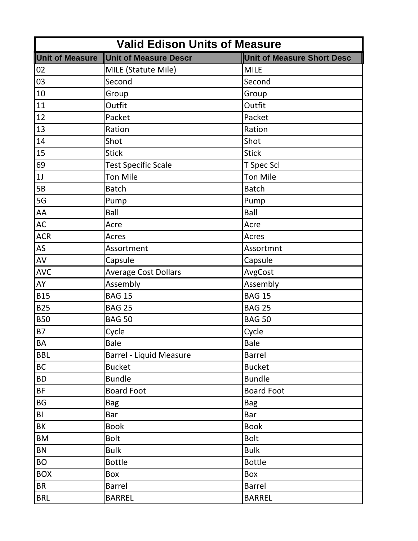| <b>Valid Edison Units of Measure</b> |                                |                                   |
|--------------------------------------|--------------------------------|-----------------------------------|
| <b>Unit of Measure</b>               | <b>Unit of Measure Descr</b>   | <b>Unit of Measure Short Desc</b> |
| 02                                   | MILE (Statute Mile)            | <b>MILE</b>                       |
| 03                                   | Second                         | Second                            |
| 10                                   | Group                          | Group                             |
| 11                                   | Outfit                         | Outfit                            |
| 12                                   | Packet                         | Packet                            |
| 13                                   | Ration                         | Ration                            |
| 14                                   | Shot                           | Shot                              |
| 15                                   | <b>Stick</b>                   | <b>Stick</b>                      |
| 69                                   | <b>Test Specific Scale</b>     | T Spec Scl                        |
| 1J                                   | <b>Ton Mile</b>                | <b>Ton Mile</b>                   |
| 5B                                   | <b>Batch</b>                   | <b>Batch</b>                      |
| 5G                                   | Pump                           | Pump                              |
| AA                                   | Ball                           | Ball                              |
| <b>AC</b>                            | Acre                           | Acre                              |
| <b>ACR</b>                           | Acres                          | Acres                             |
| AS                                   | Assortment                     | Assortmnt                         |
| AV                                   | Capsule                        | Capsule                           |
| <b>AVC</b>                           | <b>Average Cost Dollars</b>    | AvgCost                           |
| AY                                   | Assembly                       | Assembly                          |
| <b>B15</b>                           | <b>BAG 15</b>                  | <b>BAG 15</b>                     |
| <b>B25</b>                           | <b>BAG 25</b>                  | <b>BAG 25</b>                     |
| <b>B50</b>                           | <b>BAG 50</b>                  | <b>BAG 50</b>                     |
| <b>B7</b>                            | Cycle                          | Cycle                             |
| BA                                   | <b>Bale</b>                    | Bale                              |
| <b>BBL</b>                           | <b>Barrel - Liquid Measure</b> | <b>Barrel</b>                     |
| BC                                   | <b>Bucket</b>                  | <b>Bucket</b>                     |
| <b>BD</b>                            | <b>Bundle</b>                  | <b>Bundle</b>                     |
| BF                                   | <b>Board Foot</b>              | <b>Board Foot</b>                 |
| BG                                   | <b>Bag</b>                     | <b>Bag</b>                        |
| BI                                   | Bar                            | Bar                               |
| BK                                   | <b>Book</b>                    | <b>Book</b>                       |
| BM                                   | <b>Bolt</b>                    | <b>Bolt</b>                       |
| BN                                   | <b>Bulk</b>                    | <b>Bulk</b>                       |
| <b>BO</b>                            | <b>Bottle</b>                  | <b>Bottle</b>                     |
| <b>BOX</b>                           | Box                            | Box                               |
| <b>BR</b>                            | <b>Barrel</b>                  | <b>Barrel</b>                     |
| <b>BRL</b>                           | <b>BARREL</b>                  | <b>BARREL</b>                     |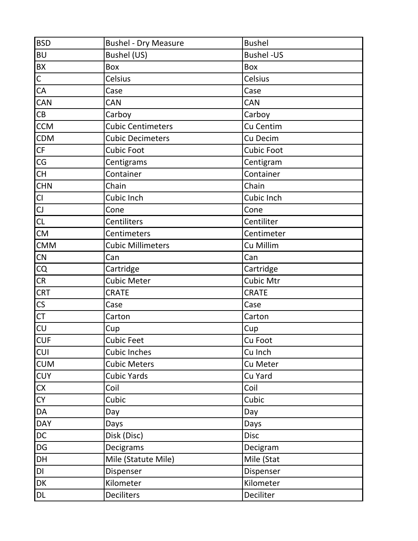| <b>BSD</b>           | <b>Bushel - Dry Measure</b> | <b>Bushel</b>     |
|----------------------|-----------------------------|-------------------|
| <b>BU</b>            | Bushel (US)                 | <b>Bushel-US</b>  |
| BX                   | Box                         | Box               |
| $\overline{C}$       | Celsius                     | Celsius           |
| CA                   | Case                        | Case              |
| CAN                  | CAN                         | CAN               |
| CB                   | Carboy                      | Carboy            |
| <b>CCM</b>           | <b>Cubic Centimeters</b>    | Cu Centim         |
| CDM                  | <b>Cubic Decimeters</b>     | Cu Decim          |
| CF                   | <b>Cubic Foot</b>           | <b>Cubic Foot</b> |
| CG                   | Centigrams                  | Centigram         |
| CH                   | Container                   | Container         |
| <b>CHN</b>           | Chain                       | Chain             |
| CI                   | Cubic Inch                  | Cubic Inch        |
|                      | Cone                        | Cone              |
| CL                   | Centiliters                 | Centiliter        |
| <b>CM</b>            | Centimeters                 | Centimeter        |
| <b>CMM</b>           | <b>Cubic Millimeters</b>    | Cu Millim         |
| CN                   | Can                         | Can               |
| CQ                   | Cartridge                   | Cartridge         |
| CR                   | <b>Cubic Meter</b>          | Cubic Mtr         |
| <b>CRT</b>           | <b>CRATE</b>                | <b>CRATE</b>      |
| $\mathsf{CS}\xspace$ | Case                        | Case              |
| CT                   | Carton                      | Carton            |
| CU                   | Cup                         | Cup               |
| <b>CUF</b>           | Cubic Feet                  | Cu Foot           |
| <b>CUI</b>           | <b>Cubic Inches</b>         | Cu Inch           |
| <b>CUM</b>           | <b>Cubic Meters</b>         | Cu Meter          |
| <b>CUY</b>           | <b>Cubic Yards</b>          | Cu Yard           |
| <b>CX</b>            | Coil                        | Coil              |
| <b>CY</b>            | Cubic                       | Cubic             |
| DA                   | Day                         | Day               |
| <b>DAY</b>           | Days                        | Days              |
| DC                   | Disk (Disc)                 | <b>Disc</b>       |
| DG                   | Decigrams                   | Decigram          |
| DH                   | Mile (Statute Mile)         | Mile (Stat        |
| DI                   | Dispenser                   | Dispenser         |
| DK                   | Kilometer                   | Kilometer         |
| DL                   | Deciliters                  | Deciliter         |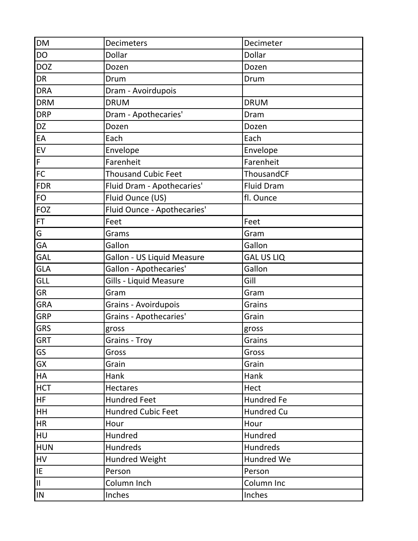| <b>DM</b>      | <b>Decimeters</b>           | Decimeter         |
|----------------|-----------------------------|-------------------|
| <b>DO</b>      | <b>Dollar</b>               | Dollar            |
| <b>DOZ</b>     | Dozen                       | Dozen             |
| <b>DR</b>      | Drum                        | Drum              |
| <b>DRA</b>     | Dram - Avoirdupois          |                   |
| <b>DRM</b>     | <b>DRUM</b>                 | <b>DRUM</b>       |
| <b>DRP</b>     | Dram - Apothecaries'        | Dram              |
| DZ             | Dozen                       | Dozen             |
| EA             | Each                        | Each              |
| ${\sf EV}$     | Envelope                    | Envelope          |
| $\overline{F}$ | Farenheit                   | Farenheit         |
| FC             | <b>Thousand Cubic Feet</b>  | ThousandCF        |
| <b>FDR</b>     | Fluid Dram - Apothecaries'  | Fluid Dram        |
| <b>FO</b>      | Fluid Ounce (US)            | fl. Ounce         |
| <b>FOZ</b>     | Fluid Ounce - Apothecaries' |                   |
| <b>FT</b>      | Feet                        | Feet              |
| G              | Grams                       | Gram              |
| GA             | Gallon                      | Gallon            |
| GAL            | Gallon - US Liquid Measure  | <b>GAL US LIQ</b> |
| <b>GLA</b>     | Gallon - Apothecaries'      | Gallon            |
| <b>GLL</b>     | Gills - Liquid Measure      | Gill              |
| <b>GR</b>      | Gram                        | Gram              |
| <b>GRA</b>     | <b>Grains - Avoirdupois</b> | Grains            |
| <b>GRP</b>     | Grains - Apothecaries'      | Grain             |
| <b>GRS</b>     | gross                       | gross             |
| <b>GRT</b>     | Grains - Troy               | Grains            |
| GS             | Gross                       | Gross             |
| <b>GX</b>      | Grain                       | Grain             |
| <b>HA</b>      | Hank                        | Hank              |
| <b>HCT</b>     | <b>Hectares</b>             | Hect              |
| <b>HF</b>      | <b>Hundred Feet</b>         | <b>Hundred Fe</b> |
| <b>HH</b>      | Hundred Cubic Feet          | Hundred Cu        |
| <b>HR</b>      | Hour                        | Hour              |
| HU             | Hundred                     | Hundred           |
| <b>HUN</b>     | Hundreds                    | Hundreds          |
| HV             | <b>Hundred Weight</b>       | Hundred We        |
| IE             | Person                      | Person            |
| $\mathsf{II}$  | Column Inch                 | Column Inc        |
| IN             | Inches                      | Inches            |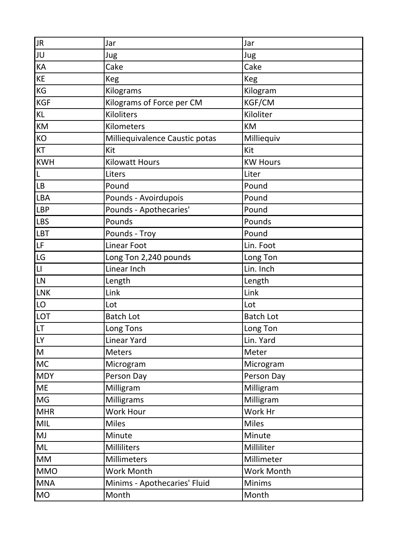| <b>JR</b>                                                                             | Jar                            | Jar              |
|---------------------------------------------------------------------------------------|--------------------------------|------------------|
| JU                                                                                    | Jug                            | Jug              |
| KA                                                                                    | Cake                           | Cake             |
| KE                                                                                    | Keg                            | <b>Keg</b>       |
| KG                                                                                    | Kilograms                      | Kilogram         |
| <b>KGF</b>                                                                            | Kilograms of Force per CM      | KGF/CM           |
| KL                                                                                    | Kiloliters                     | Kiloliter        |
| KM                                                                                    | Kilometers                     | KM               |
| KO                                                                                    | Milliequivalence Caustic potas | Milliequiv       |
| KT                                                                                    | Kit                            | Kit              |
| <b>KWH</b>                                                                            | <b>Kilowatt Hours</b>          | <b>KW Hours</b>  |
| L                                                                                     | Liters                         | Liter            |
| LB                                                                                    | Pound                          | Pound            |
| <b>LBA</b>                                                                            | Pounds - Avoirdupois           | Pound            |
| LBP                                                                                   | Pounds - Apothecaries'         | Pound            |
| <b>LBS</b>                                                                            | Pounds                         | Pounds           |
| LBT                                                                                   | Pounds - Troy                  | Pound            |
| LF                                                                                    | <b>Linear Foot</b>             | Lin. Foot        |
| LG                                                                                    | Long Ton 2,240 pounds          | Long Ton         |
| $  \mathsf{L}  $                                                                      | Linear Inch                    | Lin. Inch        |
| LN                                                                                    | Length                         | Length           |
| <b>LNK</b>                                                                            | Link                           | Link             |
| LO                                                                                    | Lot                            | Lot              |
| <b>LOT</b>                                                                            | <b>Batch Lot</b>               | <b>Batch Lot</b> |
| LT.                                                                                   | Long Tons                      | Long Ton         |
| <b>LY</b>                                                                             | <b>Linear Yard</b>             | Lin. Yard        |
| $\mathsf{M}% _{T}=\mathsf{M}_{T}\!\left( a,b\right) ,\ \mathsf{M}_{T}=\mathsf{M}_{T}$ | <b>Meters</b>                  | Meter            |
| <b>MC</b>                                                                             | Microgram                      | Microgram        |
| <b>MDY</b>                                                                            | Person Day                     | Person Day       |
| ME                                                                                    | Milligram                      | Milligram        |
| MG                                                                                    | Milligrams                     | Milligram        |
| <b>MHR</b>                                                                            | Work Hour                      | Work Hr          |
| MIL                                                                                   | <b>Miles</b>                   | <b>Miles</b>     |
| MJ                                                                                    | Minute                         | Minute           |
| ML                                                                                    | Milliliters                    | Milliliter       |
| <b>MM</b>                                                                             | Millimeters                    | Millimeter       |
| <b>MMO</b>                                                                            | Work Month                     | Work Month       |
| <b>MNA</b>                                                                            | Minims - Apothecaries' Fluid   | Minims           |
| MO                                                                                    | Month                          | Month            |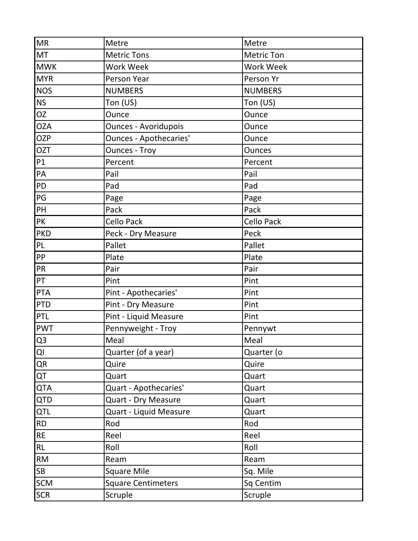| <b>MR</b>      | Metre                         | Metre            |
|----------------|-------------------------------|------------------|
| MT             | <b>Metric Tons</b>            | Metric Ton       |
| <b>MWK</b>     | Work Week                     | <b>Work Week</b> |
| <b>MYR</b>     | Person Year                   | Person Yr        |
| <b>NOS</b>     | <b>NUMBERS</b>                | <b>NUMBERS</b>   |
| <b>NS</b>      | Ton (US)                      | Ton (US)         |
| <b>OZ</b>      | Ounce                         | Ounce            |
| <b>OZA</b>     | <b>Ounces - Avoridupois</b>   | Ounce            |
| <b>OZP</b>     | <b>Ounces - Apothecaries'</b> | Ounce            |
| <b>OZT</b>     | <b>Ounces - Troy</b>          | <b>Ounces</b>    |
| P1             | Percent                       | Percent          |
| PA             | Pail                          | Pail             |
| PD             | Pad                           | Pad              |
| PG             | Page                          | Page             |
| PH             | Pack                          | Pack             |
| PK             | Cello Pack                    | Cello Pack       |
| <b>PKD</b>     | Peck - Dry Measure            | Peck             |
| PL             | Pallet                        | Pallet           |
| PP             | Plate                         | Plate            |
| PR             | Pair                          | Pair             |
| PT             | Pint                          | Pint             |
| <b>PTA</b>     | Pint - Apothecaries'          | Pint             |
| <b>PTD</b>     | Pint - Dry Measure            | Pint             |
| PTL            | Pint - Liquid Measure         | Pint             |
| <b>PWT</b>     | Pennyweight - Troy            | Pennywt          |
| Q <sub>3</sub> | Meal                          | Meal             |
| QI             | Quarter (of a year)           | Quarter (o       |
| QR             | Quire                         | Quire            |
| QT             | Quart                         | Quart            |
| <b>QTA</b>     | Quart - Apothecaries'         | Quart            |
| <b>QTD</b>     | Quart - Dry Measure           | Quart            |
| QTL            | Quart - Liquid Measure        | Quart            |
| <b>RD</b>      | Rod                           | Rod              |
| <b>RE</b>      | Reel                          | Reel             |
| RL             | Roll                          | Roll             |
| <b>RM</b>      | Ream                          | Ream             |
| SB             | <b>Square Mile</b>            | Sq. Mile         |
| SCM            | <b>Square Centimeters</b>     | Sq Centim        |
| <b>SCR</b>     | Scruple                       | Scruple          |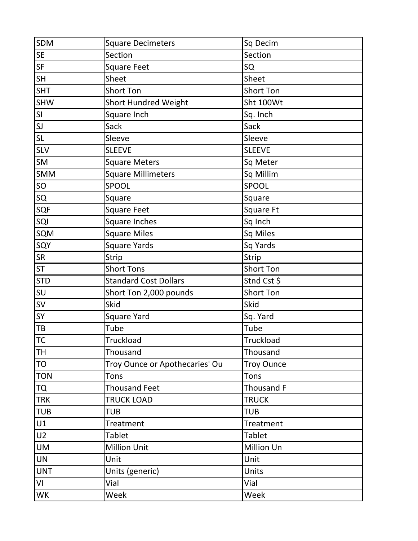| <b>SDM</b>     | <b>Square Decimeters</b>       | Sq Decim          |
|----------------|--------------------------------|-------------------|
| <b>SE</b>      | Section                        | Section           |
| <b>SF</b>      | <b>Square Feet</b>             | SQ                |
| <b>SH</b>      | Sheet                          | Sheet             |
| <b>SHT</b>     | <b>Short Ton</b>               | <b>Short Ton</b>  |
| <b>SHW</b>     | <b>Short Hundred Weight</b>    | Sht 100Wt         |
| SI             | Square Inch                    | Sq. Inch          |
| SI             | Sack                           | Sack              |
| SL             | Sleeve                         | Sleeve            |
| <b>SLV</b>     | <b>SLEEVE</b>                  | <b>SLEEVE</b>     |
| <b>SM</b>      | <b>Square Meters</b>           | Sq Meter          |
| <b>SMM</b>     | <b>Square Millimeters</b>      | Sq Millim         |
| SO             | SPOOL                          | SPOOL             |
| SQ             | Square                         | Square            |
| <b>SQF</b>     | <b>Square Feet</b>             | Square Ft         |
| SQI            | Square Inches                  | Sq Inch           |
| SQM            | <b>Square Miles</b>            | Sq Miles          |
| SQY            | <b>Square Yards</b>            | Sq Yards          |
| <b>SR</b>      | Strip                          | <b>Strip</b>      |
| <b>ST</b>      | <b>Short Tons</b>              | Short Ton         |
| <b>STD</b>     | <b>Standard Cost Dollars</b>   | Stnd Cst \$       |
| SU             | Short Ton 2,000 pounds         | Short Ton         |
| <b>SV</b>      | <b>Skid</b>                    | <b>Skid</b>       |
| SY             | <b>Square Yard</b>             | Sq. Yard          |
| TB             | Tube                           | Tube              |
| <b>TC</b>      | Truckload                      | Truckload         |
| TH             | Thousand                       | Thousand          |
| TO             | Troy Ounce or Apothecaries' Ou | <b>Troy Ounce</b> |
| <b>TON</b>     | Tons                           | Tons              |
| <b>TQ</b>      | <b>Thousand Feet</b>           | Thousand F        |
| <b>TRK</b>     | <b>TRUCK LOAD</b>              | <b>TRUCK</b>      |
| <b>TUB</b>     | <b>TUB</b>                     | <b>TUB</b>        |
| U1             | <b>Treatment</b>               | Treatment         |
| U <sub>2</sub> | <b>Tablet</b>                  | Tablet            |
| <b>UM</b>      | <b>Million Unit</b>            | Million Un        |
| <b>UN</b>      | Unit                           | Unit              |
| <b>UNT</b>     | Units (generic)                | Units             |
| VI             | Vial                           | Vial              |
| WK             | Week                           | Week              |